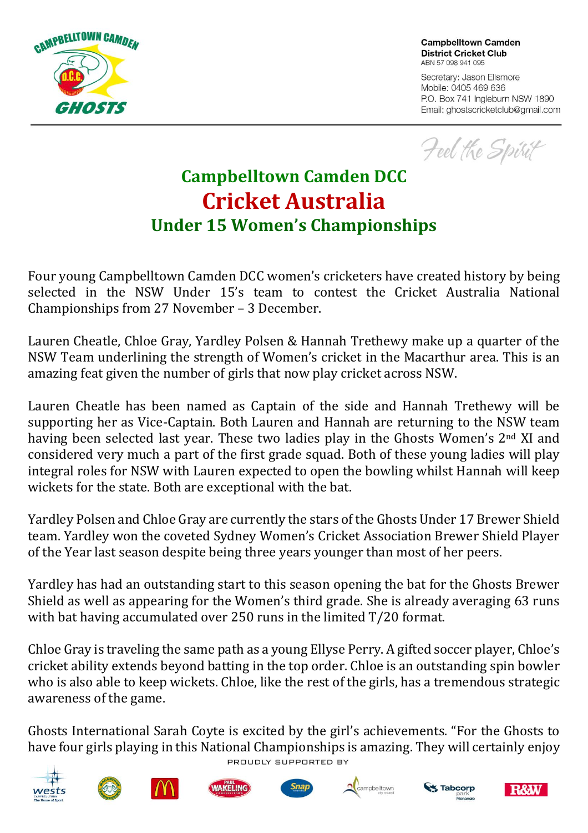

**Campbelltown Camden District Cricket Club** ABN 57 098 941 095

Secretary: Jason Ellsmore Mobile: 0405 469 636 P.O. Box 741 Ingleburn NSW 1890 Email: ghostscricketclub@gmail.com

Feel the Spirit

## **Campbelltown Camden DCC Cricket Australia Under 15 Women's Championships**

Four young Campbelltown Camden DCC women's cricketers have created history by being selected in the NSW Under 15's team to contest the Cricket Australia National Championships from 27 November – 3 December.

Lauren Cheatle, Chloe Gray, Yardley Polsen & Hannah Trethewy make up a quarter of the NSW Team underlining the strength of Women's cricket in the Macarthur area. This is an amazing feat given the number of girls that now play cricket across NSW.

Lauren Cheatle has been named as Captain of the side and Hannah Trethewy will be supporting her as Vice-Captain. Both Lauren and Hannah are returning to the NSW team having been selected last year. These two ladies play in the Ghosts Women's 2<sup>nd</sup> XI and considered very much a part of the first grade squad. Both of these young ladies will play integral roles for NSW with Lauren expected to open the bowling whilst Hannah will keep wickets for the state. Both are exceptional with the bat.

Yardley Polsen and Chloe Gray are currently the stars of the Ghosts Under 17 Brewer Shield team. Yardley won the coveted Sydney Women's Cricket Association Brewer Shield Player of the Year last season despite being three years younger than most of her peers.

Yardley has had an outstanding start to this season opening the bat for the Ghosts Brewer Shield as well as appearing for the Women's third grade. She is already averaging 63 runs with bat having accumulated over 250 runs in the limited T/20 format.

Chloe Gray is traveling the same path as a young Ellyse Perry. A gifted soccer player, Chloe's cricket ability extends beyond batting in the top order. Chloe is an outstanding spin bowler who is also able to keep wickets. Chloe, like the rest of the girls, has a tremendous strategic awareness of the game.

Ghosts International Sarah Coyte is excited by the girl's achievements. "For the Ghosts to have four girls playing in this National Championships is amazing. They will certainly enjoy PROUDLY SUPPORTED BY